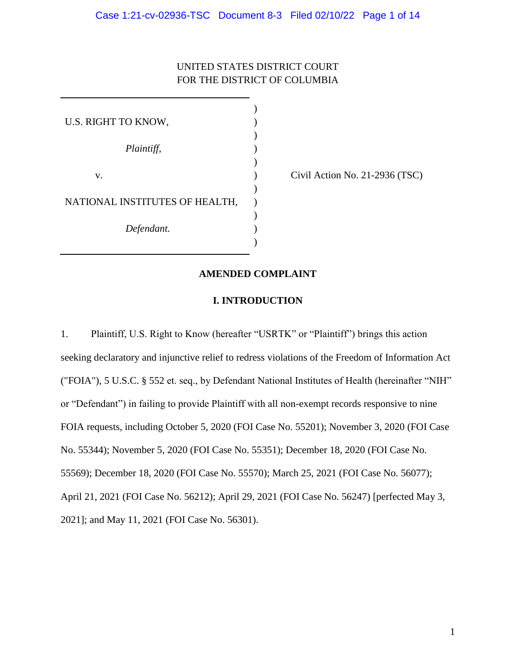## UNITED STATES DISTRICT COURT FOR THE DISTRICT OF COLUMBIA

| U.S. RIGHT TO KNOW,            |  |
|--------------------------------|--|
|                                |  |
| Plaintiff,                     |  |
|                                |  |
| V.                             |  |
|                                |  |
| NATIONAL INSTITUTES OF HEALTH, |  |
|                                |  |
| Defendant.                     |  |
|                                |  |

Civil Action No. 21-2936 (TSC)

## **AMENDED COMPLAINT**

## **I. INTRODUCTION**

1. Plaintiff, U.S. Right to Know (hereafter "USRTK" or "Plaintiff") brings this action seeking declaratory and injunctive relief to redress violations of the Freedom of Information Act ("FOIA"), 5 U.S.C. § 552 et. seq., by Defendant National Institutes of Health (hereinafter "NIH" or "Defendant") in failing to provide Plaintiff with all non-exempt records responsive to nine FOIA requests, including October 5, 2020 (FOI Case No. 55201); November 3, 2020 (FOI Case No. 55344); November 5, 2020 (FOI Case No. 55351); December 18, 2020 (FOI Case No. 55569); December 18, 2020 (FOI Case No. 55570); March 25, 2021 (FOI Case No. 56077); April 21, 2021 (FOI Case No. 56212); April 29, 2021 (FOI Case No. 56247) [perfected May 3, 2021]; and May 11, 2021 (FOI Case No. 56301).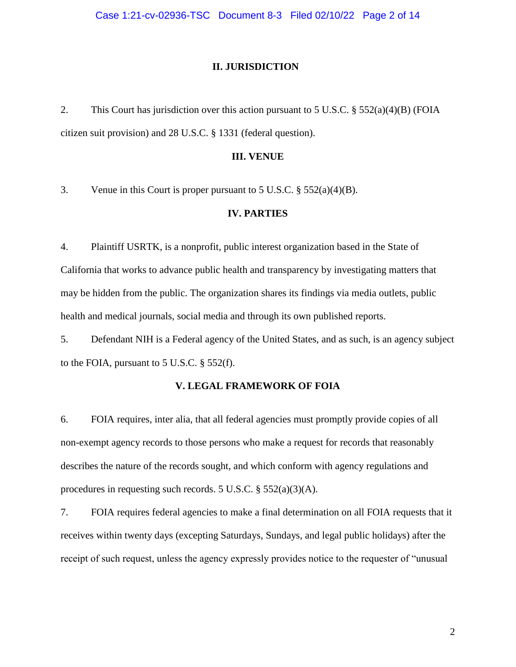#### **II. JURISDICTION**

2. This Court has jurisdiction over this action pursuant to 5 U.S.C. § 552(a)(4)(B) (FOIA citizen suit provision) and 28 U.S.C. § 1331 (federal question).

#### **III. VENUE**

3. Venue in this Court is proper pursuant to 5 U.S.C. § 552(a)(4)(B).

## **IV. PARTIES**

4. Plaintiff USRTK, is a nonprofit, public interest organization based in the State of California that works to advance public health and transparency by investigating matters that may be hidden from the public. The organization shares its findings via media outlets, public health and medical journals, social media and through its own published reports.

5. Defendant NIH is a Federal agency of the United States, and as such, is an agency subject to the FOIA, pursuant to 5 U.S.C.  $\S$  552(f).

## **V. LEGAL FRAMEWORK OF FOIA**

6. FOIA requires, inter alia, that all federal agencies must promptly provide copies of all non-exempt agency records to those persons who make a request for records that reasonably describes the nature of the records sought, and which conform with agency regulations and procedures in requesting such records. 5 U.S.C. § 552(a)(3)(A).

7. FOIA requires federal agencies to make a final determination on all FOIA requests that it receives within twenty days (excepting Saturdays, Sundays, and legal public holidays) after the receipt of such request, unless the agency expressly provides notice to the requester of "unusual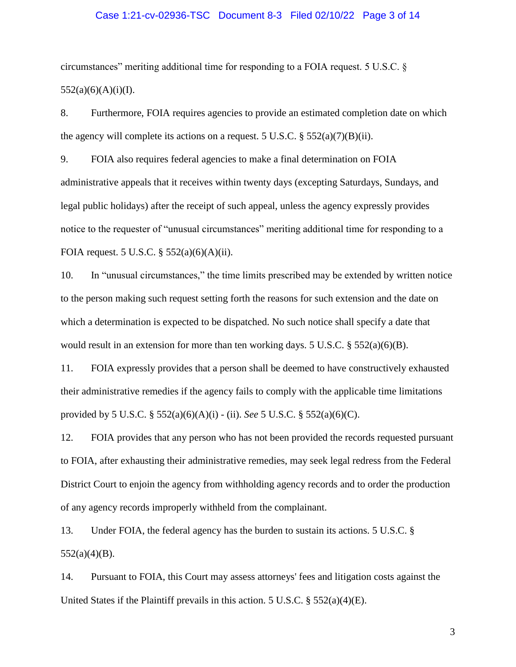#### Case 1:21-cv-02936-TSC Document 8-3 Filed 02/10/22 Page 3 of 14

circumstances" meriting additional time for responding to a FOIA request. 5 U.S.C. §  $552(a)(6)(A)(i)(I).$ 

8. Furthermore, FOIA requires agencies to provide an estimated completion date on which the agency will complete its actions on a request. 5 U.S.C.  $\S$  552(a)(7)(B)(ii).

9. FOIA also requires federal agencies to make a final determination on FOIA administrative appeals that it receives within twenty days (excepting Saturdays, Sundays, and legal public holidays) after the receipt of such appeal, unless the agency expressly provides notice to the requester of "unusual circumstances" meriting additional time for responding to a FOIA request. 5 U.S.C. § 552(a)(6)(A)(ii).

10. In "unusual circumstances," the time limits prescribed may be extended by written notice to the person making such request setting forth the reasons for such extension and the date on which a determination is expected to be dispatched. No such notice shall specify a date that would result in an extension for more than ten working days. 5 U.S.C. § 552(a)(6)(B).

11. FOIA expressly provides that a person shall be deemed to have constructively exhausted their administrative remedies if the agency fails to comply with the applicable time limitations provided by 5 U.S.C. § 552(a)(6)(A)(i) - (ii). *See* 5 U.S.C. § 552(a)(6)(C).

12. FOIA provides that any person who has not been provided the records requested pursuant to FOIA, after exhausting their administrative remedies, may seek legal redress from the Federal District Court to enjoin the agency from withholding agency records and to order the production of any agency records improperly withheld from the complainant.

13. Under FOIA, the federal agency has the burden to sustain its actions. 5 U.S.C. §  $552(a)(4)(B)$ .

14. Pursuant to FOIA, this Court may assess attorneys' fees and litigation costs against the United States if the Plaintiff prevails in this action. 5 U.S.C.  $\S 552(a)(4)(E)$ .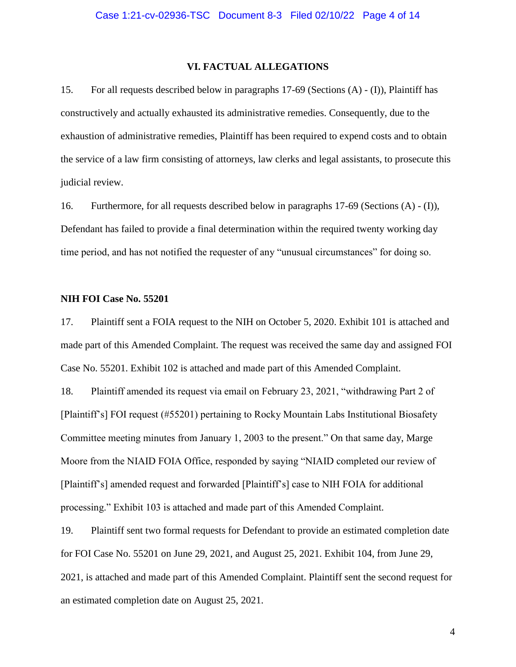#### **VI. FACTUAL ALLEGATIONS**

15. For all requests described below in paragraphs 17-69 (Sections (A) - (I)), Plaintiff has constructively and actually exhausted its administrative remedies. Consequently, due to the exhaustion of administrative remedies, Plaintiff has been required to expend costs and to obtain the service of a law firm consisting of attorneys, law clerks and legal assistants, to prosecute this judicial review.

16. Furthermore, for all requests described below in paragraphs 17-69 (Sections (A) - (I)), Defendant has failed to provide a final determination within the required twenty working day time period, and has not notified the requester of any "unusual circumstances" for doing so.

#### **NIH FOI Case No. 55201**

17. Plaintiff sent a FOIA request to the NIH on October 5, 2020. Exhibit 101 is attached and made part of this Amended Complaint. The request was received the same day and assigned FOI Case No. 55201. Exhibit 102 is attached and made part of this Amended Complaint.

18. Plaintiff amended its request via email on February 23, 2021, "withdrawing Part 2 of [Plaintiff's] FOI request (#55201) pertaining to Rocky Mountain Labs Institutional Biosafety Committee meeting minutes from January 1, 2003 to the present." On that same day, Marge Moore from the NIAID FOIA Office, responded by saying "NIAID completed our review of [Plaintiff's] amended request and forwarded [Plaintiff's] case to NIH FOIA for additional processing." Exhibit 103 is attached and made part of this Amended Complaint.

19. Plaintiff sent two formal requests for Defendant to provide an estimated completion date for FOI Case No. 55201 on June 29, 2021, and August 25, 2021. Exhibit 104, from June 29, 2021, is attached and made part of this Amended Complaint. Plaintiff sent the second request for an estimated completion date on August 25, 2021.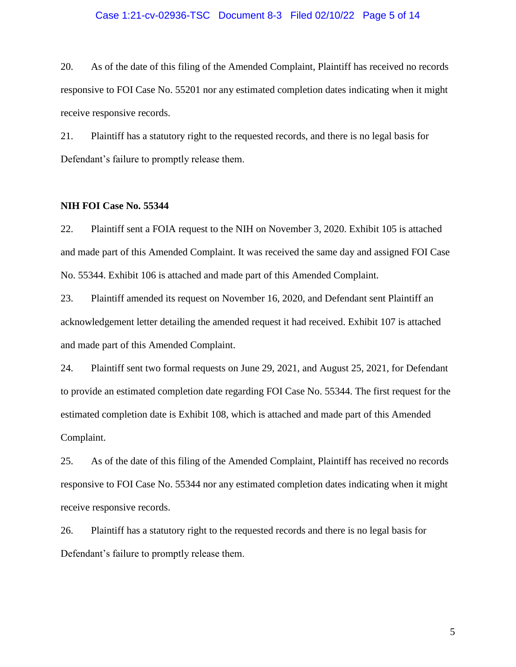#### Case 1:21-cv-02936-TSC Document 8-3 Filed 02/10/22 Page 5 of 14

20. As of the date of this filing of the Amended Complaint, Plaintiff has received no records responsive to FOI Case No. 55201 nor any estimated completion dates indicating when it might receive responsive records.

21. Plaintiff has a statutory right to the requested records, and there is no legal basis for Defendant's failure to promptly release them.

#### **NIH FOI Case No. 55344**

22. Plaintiff sent a FOIA request to the NIH on November 3, 2020. Exhibit 105 is attached and made part of this Amended Complaint. It was received the same day and assigned FOI Case No. 55344. Exhibit 106 is attached and made part of this Amended Complaint.

23. Plaintiff amended its request on November 16, 2020, and Defendant sent Plaintiff an acknowledgement letter detailing the amended request it had received. Exhibit 107 is attached and made part of this Amended Complaint.

24. Plaintiff sent two formal requests on June 29, 2021, and August 25, 2021, for Defendant to provide an estimated completion date regarding FOI Case No. 55344. The first request for the estimated completion date is Exhibit 108, which is attached and made part of this Amended Complaint.

25. As of the date of this filing of the Amended Complaint, Plaintiff has received no records responsive to FOI Case No. 55344 nor any estimated completion dates indicating when it might receive responsive records.

26. Plaintiff has a statutory right to the requested records and there is no legal basis for Defendant's failure to promptly release them.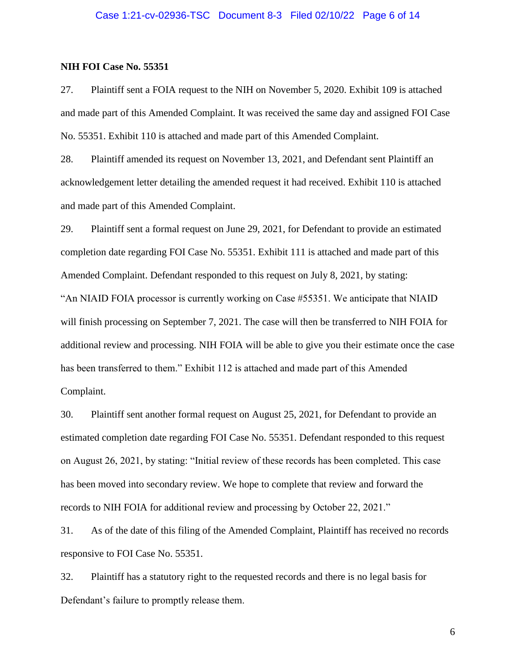#### **NIH FOI Case No. 55351**

27. Plaintiff sent a FOIA request to the NIH on November 5, 2020. Exhibit 109 is attached and made part of this Amended Complaint. It was received the same day and assigned FOI Case No. 55351. Exhibit 110 is attached and made part of this Amended Complaint.

28. Plaintiff amended its request on November 13, 2021, and Defendant sent Plaintiff an acknowledgement letter detailing the amended request it had received. Exhibit 110 is attached and made part of this Amended Complaint.

29. Plaintiff sent a formal request on June 29, 2021, for Defendant to provide an estimated completion date regarding FOI Case No. 55351. Exhibit 111 is attached and made part of this Amended Complaint. Defendant responded to this request on July 8, 2021, by stating: "An NIAID FOIA processor is currently working on Case #55351. We anticipate that NIAID will finish processing on September 7, 2021. The case will then be transferred to NIH FOIA for additional review and processing. NIH FOIA will be able to give you their estimate once the case has been transferred to them." Exhibit 112 is attached and made part of this Amended Complaint.

30. Plaintiff sent another formal request on August 25, 2021, for Defendant to provide an estimated completion date regarding FOI Case No. 55351. Defendant responded to this request on August 26, 2021, by stating: "Initial review of these records has been completed. This case has been moved into secondary review. We hope to complete that review and forward the records to NIH FOIA for additional review and processing by October 22, 2021."

31. As of the date of this filing of the Amended Complaint, Plaintiff has received no records responsive to FOI Case No. 55351.

32. Plaintiff has a statutory right to the requested records and there is no legal basis for Defendant's failure to promptly release them.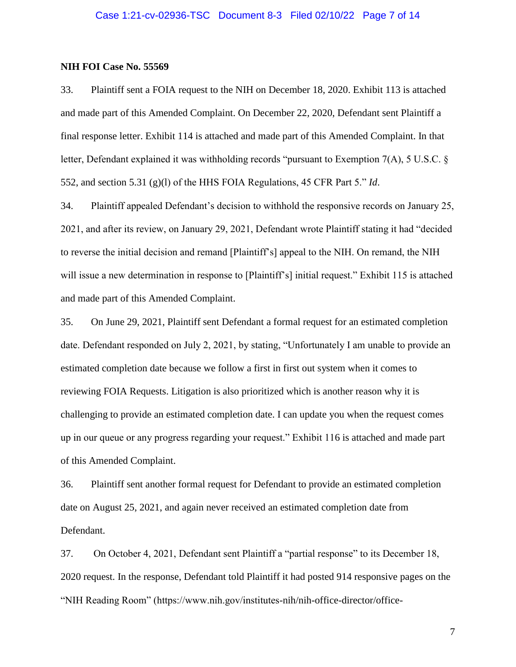#### **NIH FOI Case No. 55569**

33. Plaintiff sent a FOIA request to the NIH on December 18, 2020. Exhibit 113 is attached and made part of this Amended Complaint. On December 22, 2020, Defendant sent Plaintiff a final response letter. Exhibit 114 is attached and made part of this Amended Complaint. In that letter, Defendant explained it was withholding records "pursuant to Exemption 7(A), 5 U.S.C. § 552, and section 5.31 (g)(l) of the HHS FOIA Regulations, 45 CFR Part 5." *Id*.

34. Plaintiff appealed Defendant's decision to withhold the responsive records on January 25, 2021, and after its review, on January 29, 2021, Defendant wrote Plaintiff stating it had "decided to reverse the initial decision and remand [Plaintiff's] appeal to the NIH. On remand, the NIH will issue a new determination in response to [Plaintiff's] initial request." Exhibit 115 is attached and made part of this Amended Complaint.

35. On June 29, 2021, Plaintiff sent Defendant a formal request for an estimated completion date. Defendant responded on July 2, 2021, by stating, "Unfortunately I am unable to provide an estimated completion date because we follow a first in first out system when it comes to reviewing FOIA Requests. Litigation is also prioritized which is another reason why it is challenging to provide an estimated completion date. I can update you when the request comes up in our queue or any progress regarding your request." Exhibit 116 is attached and made part of this Amended Complaint.

36. Plaintiff sent another formal request for Defendant to provide an estimated completion date on August 25, 2021, and again never received an estimated completion date from Defendant.

37. On October 4, 2021, Defendant sent Plaintiff a "partial response" to its December 18, 2020 request. In the response, Defendant told Plaintiff it had posted 914 responsive pages on the "NIH Reading Room" (https://www.nih.gov/institutes-nih/nih-office-director/office-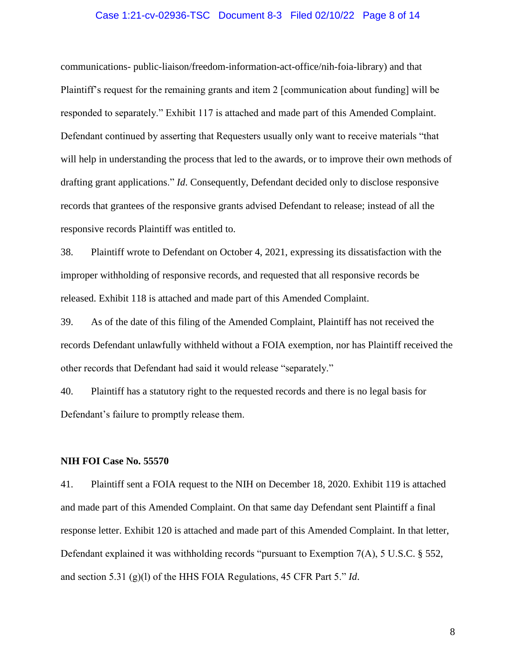#### Case 1:21-cv-02936-TSC Document 8-3 Filed 02/10/22 Page 8 of 14

communications- public-liaison/freedom-information-act-office/nih-foia-library) and that Plaintiff's request for the remaining grants and item 2 [communication about funding] will be responded to separately." Exhibit 117 is attached and made part of this Amended Complaint. Defendant continued by asserting that Requesters usually only want to receive materials "that will help in understanding the process that led to the awards, or to improve their own methods of drafting grant applications." *Id*. Consequently, Defendant decided only to disclose responsive records that grantees of the responsive grants advised Defendant to release; instead of all the responsive records Plaintiff was entitled to.

38. Plaintiff wrote to Defendant on October 4, 2021, expressing its dissatisfaction with the improper withholding of responsive records, and requested that all responsive records be released. Exhibit 118 is attached and made part of this Amended Complaint.

39. As of the date of this filing of the Amended Complaint, Plaintiff has not received the records Defendant unlawfully withheld without a FOIA exemption, nor has Plaintiff received the other records that Defendant had said it would release "separately."

40. Plaintiff has a statutory right to the requested records and there is no legal basis for Defendant's failure to promptly release them.

#### **NIH FOI Case No. 55570**

41. Plaintiff sent a FOIA request to the NIH on December 18, 2020. Exhibit 119 is attached and made part of this Amended Complaint. On that same day Defendant sent Plaintiff a final response letter. Exhibit 120 is attached and made part of this Amended Complaint. In that letter, Defendant explained it was withholding records "pursuant to Exemption 7(A), 5 U.S.C. § 552, and section 5.31 (g)(l) of the HHS FOIA Regulations, 45 CFR Part 5." *Id*.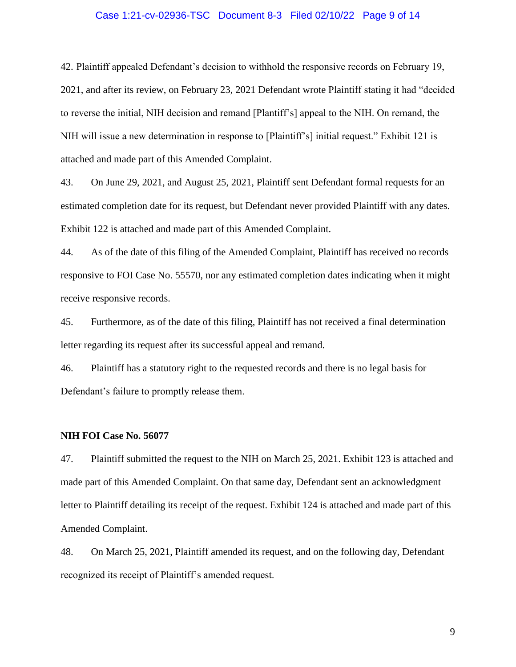#### Case 1:21-cv-02936-TSC Document 8-3 Filed 02/10/22 Page 9 of 14

42. Plaintiff appealed Defendant's decision to withhold the responsive records on February 19, 2021, and after its review, on February 23, 2021 Defendant wrote Plaintiff stating it had "decided to reverse the initial, NIH decision and remand [Plantiff's] appeal to the NIH. On remand, the NIH will issue a new determination in response to [Plaintiff's] initial request." Exhibit 121 is attached and made part of this Amended Complaint.

43. On June 29, 2021, and August 25, 2021, Plaintiff sent Defendant formal requests for an estimated completion date for its request, but Defendant never provided Plaintiff with any dates. Exhibit 122 is attached and made part of this Amended Complaint.

44. As of the date of this filing of the Amended Complaint, Plaintiff has received no records responsive to FOI Case No. 55570, nor any estimated completion dates indicating when it might receive responsive records.

45. Furthermore, as of the date of this filing, Plaintiff has not received a final determination letter regarding its request after its successful appeal and remand.

46. Plaintiff has a statutory right to the requested records and there is no legal basis for Defendant's failure to promptly release them.

#### **NIH FOI Case No. 56077**

47. Plaintiff submitted the request to the NIH on March 25, 2021. Exhibit 123 is attached and made part of this Amended Complaint. On that same day, Defendant sent an acknowledgment letter to Plaintiff detailing its receipt of the request. Exhibit 124 is attached and made part of this Amended Complaint.

48. On March 25, 2021, Plaintiff amended its request, and on the following day, Defendant recognized its receipt of Plaintiff's amended request.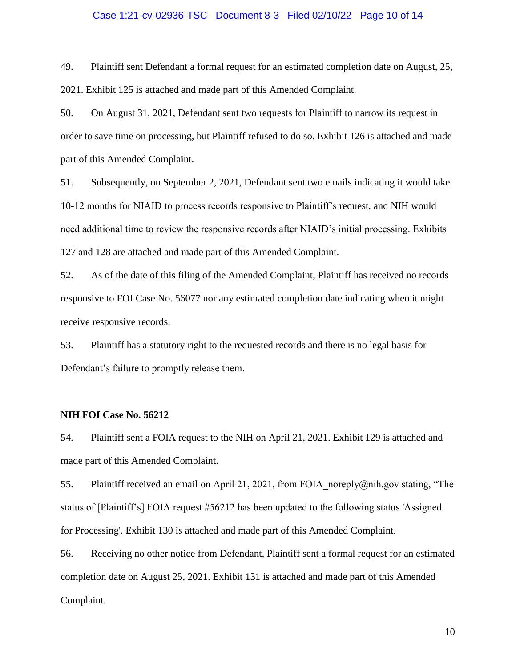#### Case 1:21-cv-02936-TSC Document 8-3 Filed 02/10/22 Page 10 of 14

49. Plaintiff sent Defendant a formal request for an estimated completion date on August, 25, 2021. Exhibit 125 is attached and made part of this Amended Complaint.

50. On August 31, 2021, Defendant sent two requests for Plaintiff to narrow its request in order to save time on processing, but Plaintiff refused to do so. Exhibit 126 is attached and made part of this Amended Complaint.

51. Subsequently, on September 2, 2021, Defendant sent two emails indicating it would take 10-12 months for NIAID to process records responsive to Plaintiff's request, and NIH would need additional time to review the responsive records after NIAID's initial processing. Exhibits 127 and 128 are attached and made part of this Amended Complaint.

52. As of the date of this filing of the Amended Complaint, Plaintiff has received no records responsive to FOI Case No. 56077 nor any estimated completion date indicating when it might receive responsive records.

53. Plaintiff has a statutory right to the requested records and there is no legal basis for Defendant's failure to promptly release them.

### **NIH FOI Case No. 56212**

54. Plaintiff sent a FOIA request to the NIH on April 21, 2021. Exhibit 129 is attached and made part of this Amended Complaint.

55. Plaintiff received an email on April 21, 2021, from FOIA noreply@nih.gov stating, "The status of [Plaintiff's] FOIA request #56212 has been updated to the following status 'Assigned for Processing'. Exhibit 130 is attached and made part of this Amended Complaint.

56. Receiving no other notice from Defendant, Plaintiff sent a formal request for an estimated completion date on August 25, 2021. Exhibit 131 is attached and made part of this Amended Complaint.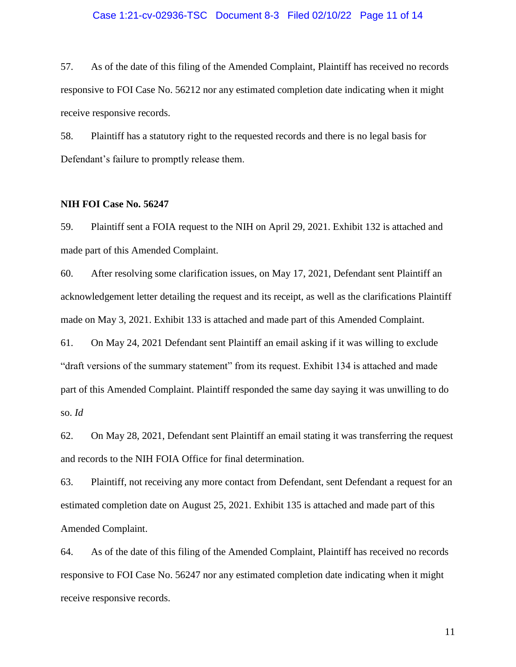#### Case 1:21-cv-02936-TSC Document 8-3 Filed 02/10/22 Page 11 of 14

57. As of the date of this filing of the Amended Complaint, Plaintiff has received no records responsive to FOI Case No. 56212 nor any estimated completion date indicating when it might receive responsive records.

58. Plaintiff has a statutory right to the requested records and there is no legal basis for Defendant's failure to promptly release them.

### **NIH FOI Case No. 56247**

59. Plaintiff sent a FOIA request to the NIH on April 29, 2021. Exhibit 132 is attached and made part of this Amended Complaint.

60. After resolving some clarification issues, on May 17, 2021, Defendant sent Plaintiff an acknowledgement letter detailing the request and its receipt, as well as the clarifications Plaintiff made on May 3, 2021. Exhibit 133 is attached and made part of this Amended Complaint.

61. On May 24, 2021 Defendant sent Plaintiff an email asking if it was willing to exclude "draft versions of the summary statement" from its request. Exhibit 134 is attached and made part of this Amended Complaint. Plaintiff responded the same day saying it was unwilling to do so. *Id*

62. On May 28, 2021, Defendant sent Plaintiff an email stating it was transferring the request and records to the NIH FOIA Office for final determination.

63. Plaintiff, not receiving any more contact from Defendant, sent Defendant a request for an estimated completion date on August 25, 2021. Exhibit 135 is attached and made part of this Amended Complaint.

64. As of the date of this filing of the Amended Complaint, Plaintiff has received no records responsive to FOI Case No. 56247 nor any estimated completion date indicating when it might receive responsive records.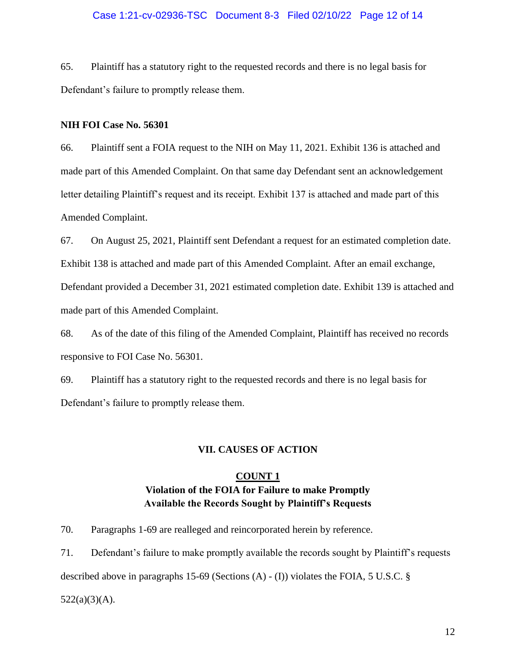## Case 1:21-cv-02936-TSC Document 8-3 Filed 02/10/22 Page 12 of 14

65. Plaintiff has a statutory right to the requested records and there is no legal basis for Defendant's failure to promptly release them.

## **NIH FOI Case No. 56301**

66. Plaintiff sent a FOIA request to the NIH on May 11, 2021. Exhibit 136 is attached and made part of this Amended Complaint. On that same day Defendant sent an acknowledgement letter detailing Plaintiff's request and its receipt. Exhibit 137 is attached and made part of this Amended Complaint.

67. On August 25, 2021, Plaintiff sent Defendant a request for an estimated completion date. Exhibit 138 is attached and made part of this Amended Complaint. After an email exchange, Defendant provided a December 31, 2021 estimated completion date. Exhibit 139 is attached and made part of this Amended Complaint.

68. As of the date of this filing of the Amended Complaint, Plaintiff has received no records responsive to FOI Case No. 56301.

69. Plaintiff has a statutory right to the requested records and there is no legal basis for Defendant's failure to promptly release them.

#### **VII. CAUSES OF ACTION**

## **COUNT 1 Violation of the FOIA for Failure to make Promptly Available the Records Sought by Plaintiff's Requests**

70. Paragraphs 1-69 are realleged and reincorporated herein by reference.

71. Defendant's failure to make promptly available the records sought by Plaintiff's requests described above in paragraphs 15-69 (Sections (A) - (I)) violates the FOIA, 5 U.S.C. §  $522(a)(3)(A)$ .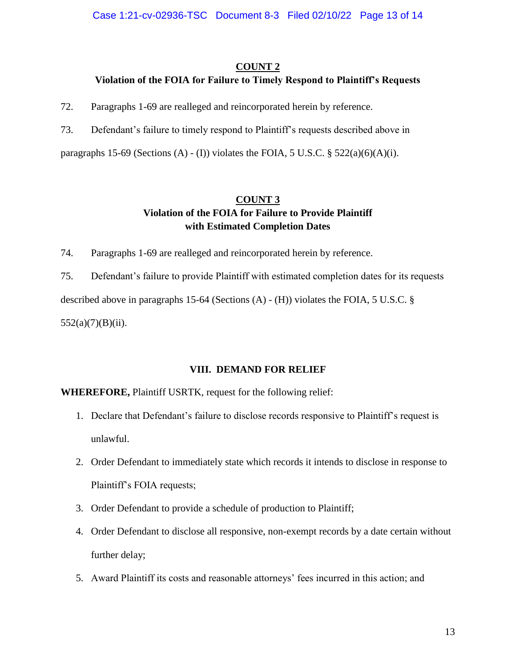## **COUNT 2**

# **Violation of the FOIA for Failure to Timely Respond to Plaintiff's Requests**

72. Paragraphs 1-69 are realleged and reincorporated herein by reference.

73. Defendant's failure to timely respond to Plaintiff's requests described above in

paragraphs 15-69 (Sections (A) - (I)) violates the FOIA, 5 U.S.C.  $\S$  522(a)(6)(A)(i).

# **COUNT 3 Violation of the FOIA for Failure to Provide Plaintiff with Estimated Completion Dates**

74. Paragraphs 1-69 are realleged and reincorporated herein by reference.

75. Defendant's failure to provide Plaintiff with estimated completion dates for its requests described above in paragraphs 15-64 (Sections (A) - (H)) violates the FOIA, 5 U.S.C. §  $552(a)(7)(B)(ii)$ .

# **VIII. DEMAND FOR RELIEF**

**WHEREFORE,** Plaintiff USRTK, request for the following relief:

- 1. Declare that Defendant's failure to disclose records responsive to Plaintiff's request is unlawful.
- 2. Order Defendant to immediately state which records it intends to disclose in response to Plaintiff's FOIA requests;
- 3. Order Defendant to provide a schedule of production to Plaintiff;
- 4. Order Defendant to disclose all responsive, non-exempt records by a date certain without further delay;
- 5. Award Plaintiff its costs and reasonable attorneys' fees incurred in this action; and